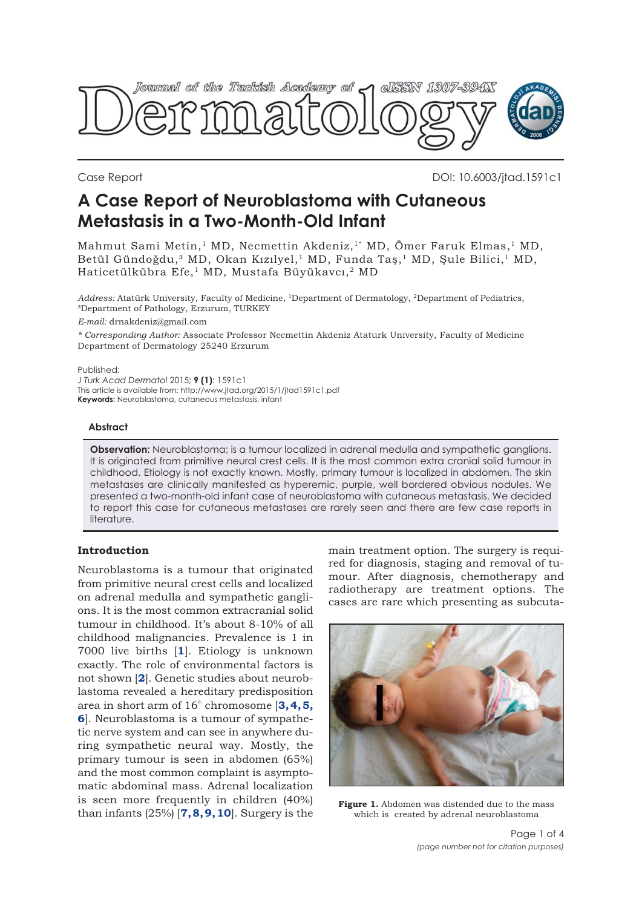<span id="page-0-0"></span>

Case Report DOI: 10.6003/jtad.1591c1

# **A Case Report of Neuroblastoma with Cutaneous Metastasis in a Two-Month-Old Infant**

Mahmut Sami Metin,<sup>1</sup> MD, Necmettin Akdeniz,<sup>1\*</sup> MD, Ömer Faruk Elmas,<sup>1</sup> MD, Betül Gündoğdu,<sup>3</sup> MD, Okan Kızılyel,<sup>1</sup> MD, Funda Taş,<sup>1</sup> MD, Şule Bilici,<sup>1</sup> MD, Haticetülkübra Efe,<sup>1</sup> MD, Mustafa Büyükavcı,<sup>2</sup> MD

*Address:* Atatürk University, Faculty of Medicine, 1Department of Dermatology, 2Department of Pediatrics, ³Department of Pathology, Erzurum, TURKEY

*E-mail:* drnakdeniz@gmail.com

*\* Corresponding Author:* Associate Professor Necmettin Akdeniz Ataturk University, Faculty of Medicine Department of Dermatology 25240 Erzurum

Published:

*J Turk Acad Dermatol* 2015; **9 (1)**: 1591c1 This article is available from: http://www.jtad.org/2015/1/jtad1591c1.pdf **Keywords:** Neuroblastoma, cutaneous metastasis, infant

## **Abstract**

**Observation:** Neuroblastoma; is a tumour localized in adrenal medulla and sympathetic ganglions. It is originated from primitive neural crest cells. It is the most common extra cranial solid tumour in childhood. Etiology is not exactly known. Mostly, primary tumour is localized in abdomen. The skin metastases are clinically manifested as hyperemic, purple, well bordered obvious nodules. We presented a two-month-old infant case of neuroblastoma with cutaneous metastasis. We decided to report this case for cutaneous metastases are rarely seen and there are few case reports in literature.

# **Introduction**

Neuroblastoma is a tumour that originated from primitive neural crest cells and localized on adrenal medulla and sympathetic ganglions. It is the most common extracranial solid tumour in childhood. It's about 8-10% of all childhood malignancies. Prevalence is 1 in 7000 live births [**[1](#page-2-0)**]. Etiology is unknown exactly. The role of environmental factors is not shown [**[2](#page-2-0)**]. Genetic studies about neuroblastoma revealed a hereditary predisposition area in short arm of  $16<sup>th</sup>$  chromosome [[3, 4, 5](#page-2-0), **[6](#page-2-0)**]. Neuroblastoma is a tumour of sympathetic nerve system and can see in anywhere during sympathetic neural way. Mostly, the primary tumour is seen in abdomen (65%) and the most common complaint is asymptomatic abdominal mass. Adrenal localization is seen more frequently in children (40%) than infants (25%) [**[7](#page-2-0), [8](#page-2-0), [9](#page-2-0), [10](#page-2-0)**]. Surgery is the

main treatment option. The surgery is required for diagnosis, staging and removal of tumour. After diagnosis, chemotherapy and radiotherapy are treatment options. The cases are rare which presenting as subcuta-



**Figure 1.** Abdomen was distended due to the mass which is created by adrenal neuroblastoma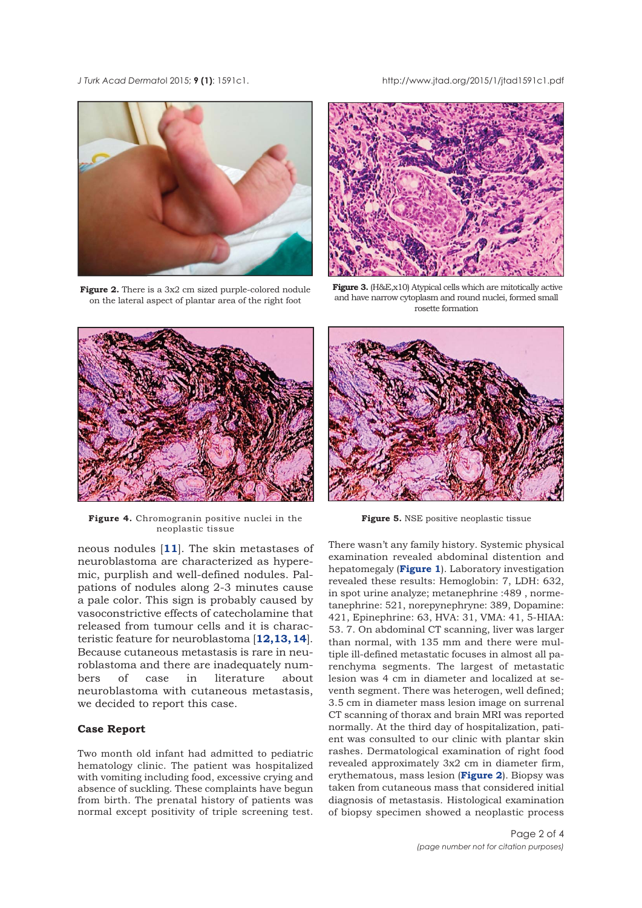<span id="page-1-0"></span>*J Turk Acad Dermato*l 2015; **9 (1)**: 1591c1. http://www.jtad.org/2015/1/jtad1591c1.pdf



**Figure 2.** There is a 3x2 cm sized purple-colored nodule on the lateral aspect of plantar area of the right foot



**Figure 3.** (H&E,x10) Atypical cells which are mitotically active and have narrow cytoplasm and round nuclei, formed small rosette formation



**Figure 4.** Chromogranin positive nuclei in the neoplastic tissue

neous nodules [**[11](#page-2-0)**]. The skin metastases of neuroblastoma are characterized as hyperemic, purplish and well-defined nodules. Palpations of nodules along 2-3 minutes cause a pale color. This sign is probably caused by vasoconstrictive effects of catecholamine that released from tumour cells and it is characteristic feature for neuroblastoma [**[12,13,](#page-2-0) [14](#page-3-0)**]. Because cutaneous metastasis is rare in neuroblastoma and there are inadequately numbers of case in literature about neuroblastoma with cutaneous metastasis, we decided to report this case.

## **Case Report**

Two month old infant had admitted to pediatric hematology clinic. The patient was hospitalized with vomiting including food, excessive crying and absence of suckling. These complaints have begun from birth. The prenatal history of patients was normal except positivity of triple screening test.



**Figure 5.** NSE positive neoplastic tissue

There wasn't any family history. Systemic physical examination revealed abdominal distention and hepatomegaly (**[Figure 1](#page-0-0)**). Laboratory investigation revealed these results: Hemoglobin: 7, LDH: 632, in spot urine analyze; metanephrine :489 , normetanephrine: 521, norepynephryne: 389, Dopamine: 421, Epinephrine: 63, HVA: 31, VMA: 41, 5-HIAA: 53. 7. On abdominal CT scanning, liver was larger than normal, with 135 mm and there were multiple ill-defined metastatic focuses in almost all parenchyma segments. The largest of metastatic lesion was 4 cm in diameter and localized at seventh segment. There was heterogen, well defined; 3.5 cm in diameter mass lesion image on surrenal CT scanning of thorax and brain MRI was reported normally. At the third day of hospitalization, patient was consulted to our clinic with plantar skin rashes. Dermatological examination of right food revealed approximately 3x2 cm in diameter firm, erythematous, mass lesion (**Figure 2**). Biopsy was taken from cutaneous mass that considered initial diagnosis of metastasis. Histological examination of biopsy specimen showed a neoplastic process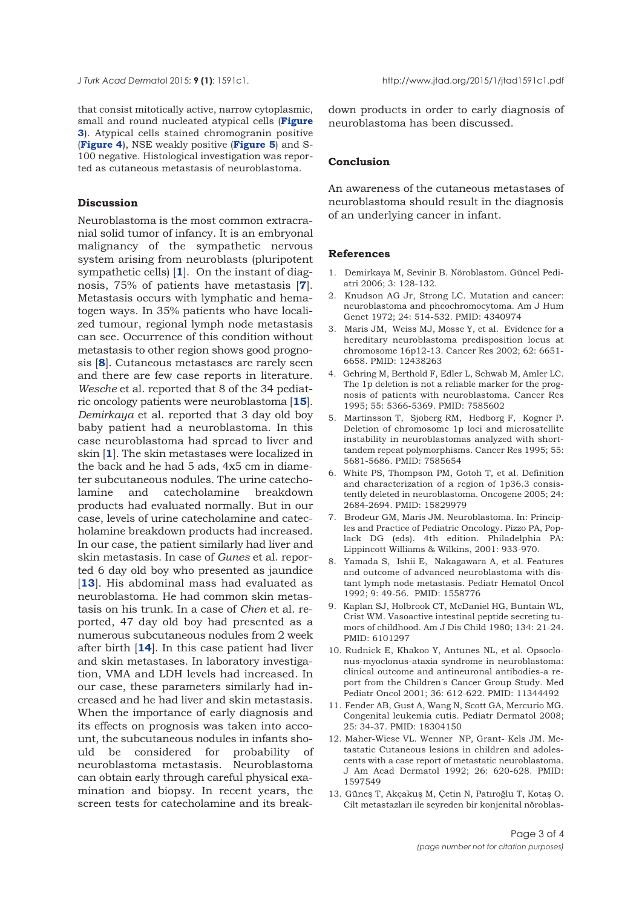<span id="page-2-0"></span>that consist mitotically active, narrow cytoplasmic, small and round nucleated atypical cells (**Figure 3**[\). Atypical cells stained chromogranin positive](#page-1-0) (**[Figure 4](#page-1-0)**), NSE weakly positive (**[Figure 5](#page-1-0)**) and S-100 negative. Histological investigation was reported as cutaneous metastasis of neuroblastoma.

#### **Discussion**

Neuroblastoma is the most common extracranial solid tumor of infancy. It is an embryonal malignancy of the sympathetic nervous system arising from neuroblasts (pluripotent sympathetic cells) [**1**]. On the instant of diagnosis, 75% of patients have metastasis [**7**]. Metastasis occurs with lymphatic and hematogen ways. In 35% patients who have localized tumour, regional lymph node metastasis can see. Occurrence of this condition without metastasis to other region shows good prognosis [**8**]. Cutaneous metastases are rarely seen and there are few case reports in literature. *Wesche* et al. reported that 8 of the 34 pediatric oncology patients were neuroblastoma [**[15](#page-3-0)**]. *Demirkaya* et al. reported that 3 day old boy baby patient had a neuroblastoma. In this case neuroblastoma had spread to liver and skin [**1**]. The skin metastases were localized in the back and he had 5 ads, 4x5 cm in diameter subcutaneous nodules. The urine catecholamine and catecholamine breakdown products had evaluated normally. But in our case, levels of urine catecholamine and catecholamine breakdown products had increased. In our case, the patient similarly had liver and skin metastasis. In case of *Gunes* et al. reported 6 day old boy who presented as jaundice [13]. His abdominal mass had evaluated as neuroblastoma. He had common skin metastasis on his trunk. In a case of *Chen* et al. reported, 47 day old boy had presented as a numerous subcutaneous nodules from 2 week after birth [**14**]. In this case patient had liver and skin metastases. In laboratory investigation, VMA and LDH levels had increased. In our case, these parameters similarly had increased and he had liver and skin metastasis. When the importance of early diagnosis and its effects on prognosis was taken into account, the subcutaneous nodules in infants should be considered for probability of neuroblastoma metastasis. Neuroblastoma can obtain early through careful physical examination and biopsy. In recent years, the screen tests for catecholamine and its break-

down products in order to early diagnosis of neuroblastoma has been discussed.

#### **Conclusion**

An awareness of the cutaneous metastases of neuroblastoma should result in the diagnosis of an underlying cancer in infant.

#### **References**

- 1. Demirkaya M, Sevinir B. Nöroblastom. Güncel Pediatri 2006; 3: 128-132.
- 2. Knudson AG Jr, Strong LC. Mutation and cancer: neuroblastoma and pheochromocytoma. Am J Hum Genet 1972; 24: 514-532. PMID: 4340974
- 3. Maris JM, Weiss MJ, Mosse Y, et al. Evidence for a hereditary neuroblastoma predisposition locus at chromosome 16p12-13. Cancer Res 2002; 62: 6651- 6658. PMID: 12438263
- 4. Gehring M, Berthold F, Edler L, Schwab M, Amler LC. The 1p deletion is not a reliable marker for the prognosis of patients with neuroblastoma. Cancer Res 1995; 55: 5366-5369. PMID: 7585602
- 5. Martinsson T, Sjoberg RM, Hedborg F, Kogner P. Deletion of chromosome 1p loci and microsatellite instability in neuroblastomas analyzed with shorttandem repeat polymorphisms. Cancer Res 1995; 55: 5681-5686. PMID: 7585654
- 6. White PS, Thompson PM, Gotoh T, et al. Definition and characterization of a region of 1p36.3 consistently deleted in neuroblastoma. Oncogene 2005; 24: 2684-2694. PMID: 15829979
- 7. Brodeur GM, Maris JM. Neuroblastoma. In: Principles and Practice of Pediatric Oncology. Pizzo PA, Poplack DG (eds). 4th edition. Philadelphia PA: Lippincott Williams & Wilkins, 2001: 933-970.
- 8. Yamada S, Ishii E, Nakagawara A, et al. Features and outcome of advanced neuroblastoma with distant lymph node metastasis. Pediatr Hematol Oncol 1992; 9: 49-56. PMID: 1558776
- 9. Kaplan SJ, Holbrook CT, McDaniel HG, Buntain WL, Crist WM. Vasoactive intestinal peptide secreting tumors of childhood. Am J Dis Child 1980; 134: 21-24. PMID: 6101297
- 10. Rudnick E, Khakoo Y, Antunes NL, et al. Opsoclonus-myoclonus-ataxia syndrome in neuroblastoma: clinical outcome and antineuronal antibodies-a report from the Children's Cancer Group Study. Med Pediatr Oncol 2001; 36: 612-622. PMID: 11344492
- 11. Fender AB, Gust A, Wang N, Scott GA, Mercurio MG. Congenital leukemia cutis. Pediatr Dermatol 2008; 25: 34-37. PMID: 18304150
- 12. Maher-Wiese VL. Wenner NP, Grant- Kels JM. Metastatic Cutaneous lesions in children and adolescents with a case report of metastatic neuroblastoma. J Am Acad Dermatol 1992; 26: 620-628. PMID: 1597549
- 13. Güneş T, Akçakuş M, Çetin N, Patıroğlu T, Kotaş O. Cilt metastazları ile seyreden bir konjenital nöroblas-